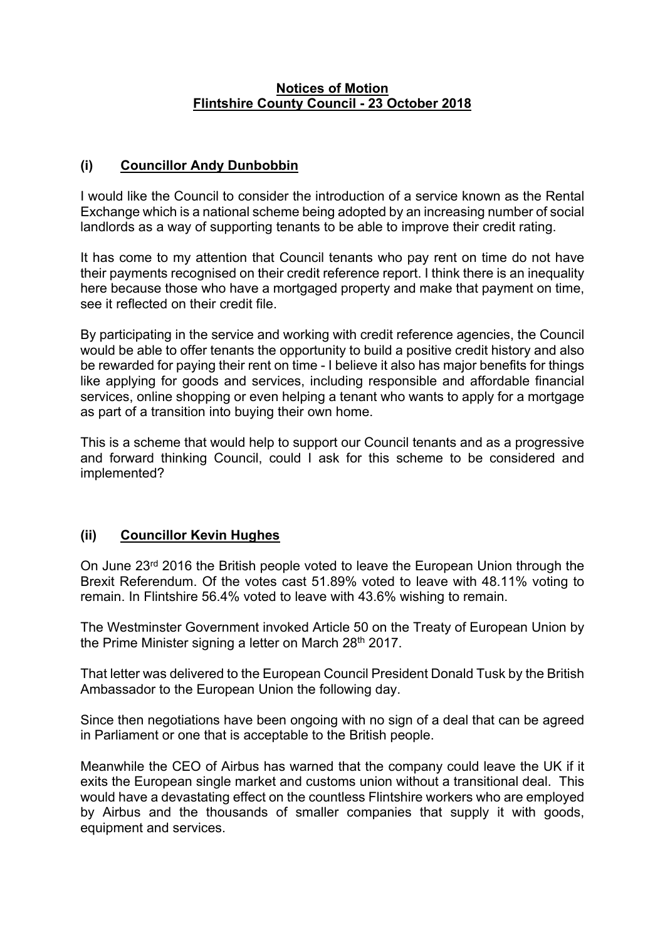## **Notices of Motion Flintshire County Council - 23 October 2018**

## **(i) Councillor Andy Dunbobbin**

I would like the Council to consider the introduction of a service known as the Rental Exchange which is a national scheme being adopted by an increasing number of social landlords as a way of supporting tenants to be able to improve their credit rating.

It has come to my attention that Council tenants who pay rent on time do not have their payments recognised on their credit reference report. I think there is an inequality here because those who have a mortgaged property and make that payment on time, see it reflected on their credit file.

By participating in the service and working with credit reference agencies, the Council would be able to offer tenants the opportunity to build a positive credit history and also be rewarded for paying their rent on time - I believe it also has major benefits for things like applying for goods and services, including responsible and affordable financial services, online shopping or even helping a tenant who wants to apply for a mortgage as part of a transition into buying their own home.

This is a scheme that would help to support our Council tenants and as a progressive and forward thinking Council, could I ask for this scheme to be considered and implemented?

## **(ii) Councillor Kevin Hughes**

On June  $23<sup>rd</sup>$  2016 the British people voted to leave the European Union through the Brexit Referendum. Of the votes cast 51.89% voted to leave with 48.11% voting to remain. In Flintshire 56.4% voted to leave with 43.6% wishing to remain.

The Westminster Government invoked Article 50 on the Treaty of European Union by the Prime Minister signing a letter on March 28th 2017.

That letter was delivered to the European Council President Donald Tusk by the British Ambassador to the European Union the following day.

Since then negotiations have been ongoing with no sign of a deal that can be agreed in Parliament or one that is acceptable to the British people.

Meanwhile the CEO of Airbus has warned that the company could leave the UK if it exits the European single market and customs union without a transitional deal. This would have a devastating effect on the countless Flintshire workers who are employed by Airbus and the thousands of smaller companies that supply it with goods, equipment and services.